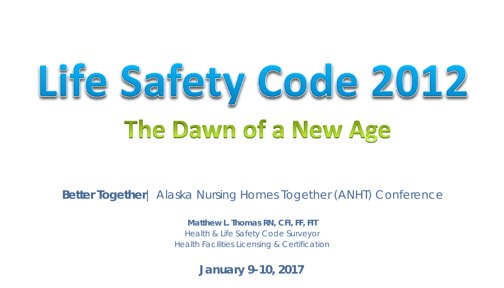# Life Safety Code 2012 The Dawn of a New Age

**Better Together**| Alaska Nursing Homes Together (ANHT) Conference

**Matthew L. Thomas RN, CFI, FF, FIT** Health & Life Safety Code Surveyor Health Facilities Licensing & Certification

**January 9-10, 2017**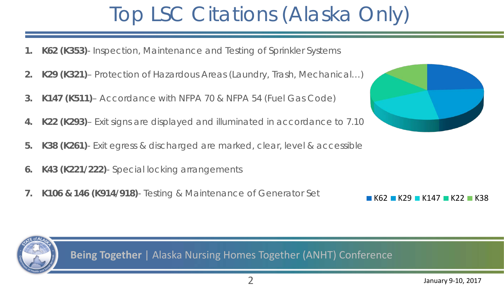#### Top LSC Citations (Alaska Only)

- **1. K62 (K353)** Inspection, Maintenance and Testing of Sprinkler Systems
- **2. K29 (K321)** Protection of Hazardous Areas (Laundry, Trash, Mechanical…)
- **3. K147 (K511)** Accordance with NFPA 70 & NFPA 54 (Fuel Gas Code)
- **4. K22 (K293)** Exit signs are displayed and illuminated in accordance to 7.10
- **5. K38 (K261)** Exit egress & discharged are marked, clear, level & accessible
- **6. K43 (K221/222)** Special locking arrangements
- **7. K106 & 146 (K914/918)** Testing & Maintenance of Generator Set





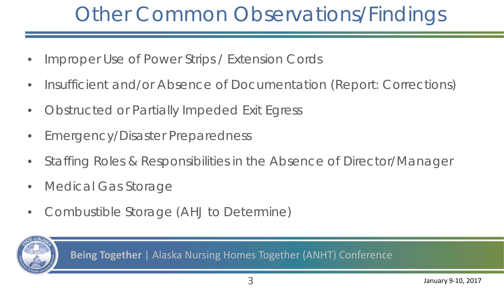#### Other Common Observations/Findings

- Improper Use of Power Strips / Extension Cords
- Insufficient and/or Absence of Documentation (Report: Corrections)
- Obstructed or Partially Impeded Exit Egress
- Emergency/Disaster Preparedness
- Staffing Roles & Responsibilities in the Absence of Director/Manager
- Medical Gas Storage
- Combustible Storage (AHJ to Determine)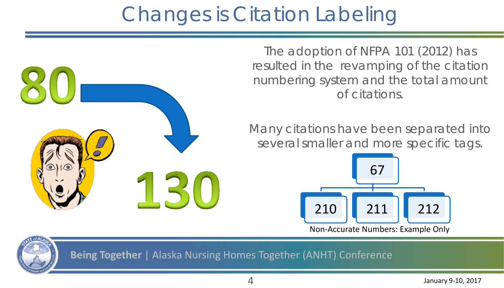#### Changes is Citation Labeling

The adoption of NFPA 101 (2012) has resulted in the revamping of the citation numbering system and the total amount of citations.

Many citations have been separated into several smaller and more specific tags.



Non-Accurate Numbers: Example Only



**Being Together** | Alaska Nursing Homes Together (ANHT) Conference

150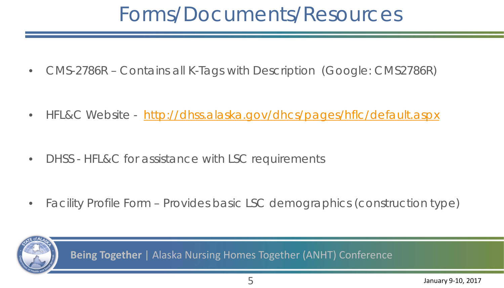#### Forms/Documents/Resources

• CMS-2786R – Contains all K-Tags with Description (Google: CMS2786R)

• HFL&C Website - <http://dhss.alaska.gov/dhcs/pages/hflc/default.aspx>

• DHSS - HFL&C for assistance with LSC requirements

• Facility Profile Form – Provides basic LSC demographics (construction type)

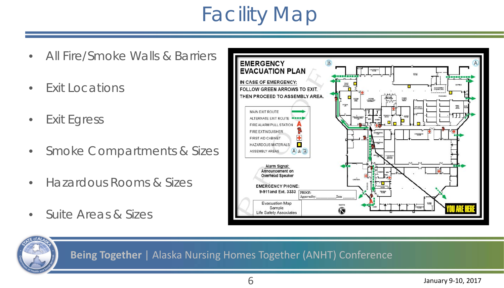#### Facility Map

- All Fire/Smoke Walls & Barriers
- Exit Locations
- Exit Egress
- Smoke Compartments & Sizes
- Hazardous Rooms & Sizes
- Suite Areas & Sizes